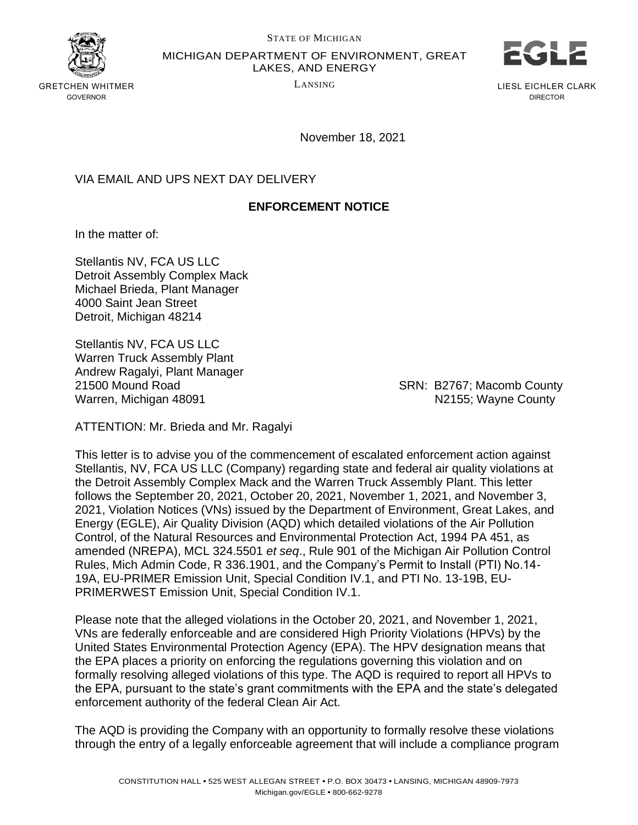

MICHIGAN DEPARTMENT OF ENVIRONMENT, GREAT



GRETCHEN WHITMER LANSING GOVERNOR

LAKES, AND ENERGY

LIESL EICHLER CLARK DIRECTOR

November 18, 2021

## VIA EMAIL AND UPS NEXT DAY DELIVERY

## **ENFORCEMENT NOTICE**

In the matter of:

Stellantis NV, FCA US LLC Detroit Assembly Complex Mack Michael Brieda, Plant Manager 4000 Saint Jean Street Detroit, Michigan 48214

Stellantis NV, FCA US LLC Warren Truck Assembly Plant Andrew Ragalyi, Plant Manager 21500 Mound Road SRN: B2767; Macomb County Warren, Michigan 48091 National Studies and Market Number of Number 2155; Wayne County

ATTENTION: Mr. Brieda and Mr. Ragalyi

This letter is to advise you of the commencement of escalated enforcement action against Stellantis, NV, FCA US LLC (Company) regarding state and federal air quality violations at the Detroit Assembly Complex Mack and the Warren Truck Assembly Plant. This letter follows the September 20, 2021, October 20, 2021, November 1, 2021, and November 3, 2021, Violation Notices (VNs) issued by the Department of Environment, Great Lakes, and Energy (EGLE), Air Quality Division (AQD) which detailed violations of the Air Pollution Control, of the Natural Resources and Environmental Protection Act, 1994 PA 451, as amended (NREPA), MCL 324.5501 *et seq*., Rule 901 of the Michigan Air Pollution Control Rules, Mich Admin Code, R 336.1901, and the Company's Permit to Install (PTI) No.14- 19A, EU-PRIMER Emission Unit, Special Condition IV.1, and PTI No. 13-19B, EU-PRIMERWEST Emission Unit, Special Condition IV.1.

Please note that the alleged violations in the October 20, 2021, and November 1, 2021, VNs are federally enforceable and are considered High Priority Violations (HPVs) by the United States Environmental Protection Agency (EPA). The HPV designation means that the EPA places a priority on enforcing the regulations governing this violation and on formally resolving alleged violations of this type. The AQD is required to report all HPVs to the EPA, pursuant to the state's grant commitments with the EPA and the state's delegated enforcement authority of the federal Clean Air Act.

The AQD is providing the Company with an opportunity to formally resolve these violations through the entry of a legally enforceable agreement that will include a compliance program